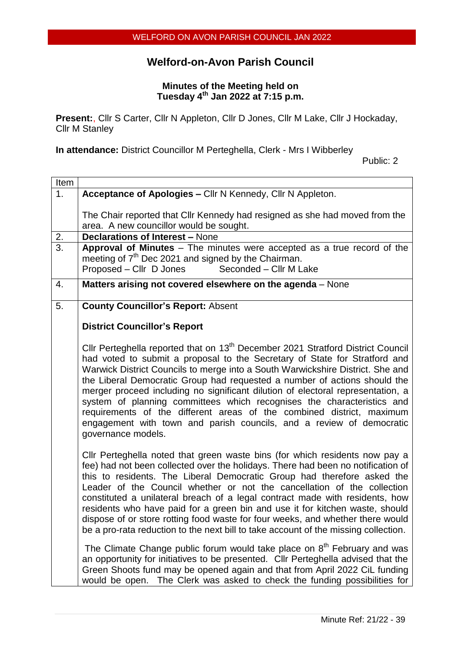# **Welford-on-Avon Parish Council**

#### **Minutes of the Meeting held on Tuesday 4 th Jan 2022 at 7:15 p.m.**

**Present:**, Cllr S Carter, Cllr N Appleton, Cllr D Jones, Cllr M Lake, Cllr J Hockaday, Cllr M Stanley

**In attendance:** District Councillor M Perteghella, Clerk - Mrs I Wibberley

Public: 2

| Item             |                                                                                                                                                                                                                                                                                                                                                                                                                                                                                                                                                                                                                                                                              |
|------------------|------------------------------------------------------------------------------------------------------------------------------------------------------------------------------------------------------------------------------------------------------------------------------------------------------------------------------------------------------------------------------------------------------------------------------------------------------------------------------------------------------------------------------------------------------------------------------------------------------------------------------------------------------------------------------|
| 1.               | Acceptance of Apologies - Cllr N Kennedy, Cllr N Appleton.                                                                                                                                                                                                                                                                                                                                                                                                                                                                                                                                                                                                                   |
| 2.               | The Chair reported that Cllr Kennedy had resigned as she had moved from the<br>area. A new councillor would be sought.<br><b>Declarations of Interest - None</b>                                                                                                                                                                                                                                                                                                                                                                                                                                                                                                             |
| $\overline{3}$ . | Approval of Minutes - The minutes were accepted as a true record of the<br>meeting of 7 <sup>th</sup> Dec 2021 and signed by the Chairman.<br>Proposed - Cllr D Jones<br>Seconded - Cllr M Lake                                                                                                                                                                                                                                                                                                                                                                                                                                                                              |
| 4.               | Matters arising not covered elsewhere on the agenda – None                                                                                                                                                                                                                                                                                                                                                                                                                                                                                                                                                                                                                   |
| 5.               | <b>County Councillor's Report: Absent</b>                                                                                                                                                                                                                                                                                                                                                                                                                                                                                                                                                                                                                                    |
|                  | <b>District Councillor's Report</b>                                                                                                                                                                                                                                                                                                                                                                                                                                                                                                                                                                                                                                          |
|                  | Cllr Perteghella reported that on 13 <sup>th</sup> December 2021 Stratford District Council<br>had voted to submit a proposal to the Secretary of State for Stratford and<br>Warwick District Councils to merge into a South Warwickshire District. She and<br>the Liberal Democratic Group had requested a number of actions should the<br>merger proceed including no significant dilution of electoral representation, a<br>system of planning committees which recognises the characteristics and<br>requirements of the different areas of the combined district, maximum<br>engagement with town and parish councils, and a review of democratic<br>governance models. |
|                  | CIIr Perteghella noted that green waste bins (for which residents now pay a<br>fee) had not been collected over the holidays. There had been no notification of<br>this to residents. The Liberal Democratic Group had therefore asked the<br>Leader of the Council whether or not the cancellation of the collection<br>constituted a unilateral breach of a legal contract made with residents, how<br>residents who have paid for a green bin and use it for kitchen waste, should<br>dispose of or store rotting food waste for four weeks, and whether there would<br>be a pro-rata reduction to the next bill to take account of the missing collection.               |
|                  | The Climate Change public forum would take place on 8 <sup>th</sup> February and was<br>an opportunity for initiatives to be presented. Cllr Perteghella advised that the<br>Green Shoots fund may be opened again and that from April 2022 CiL funding<br>would be open. The Clerk was asked to check the funding possibilities for                                                                                                                                                                                                                                                                                                                                         |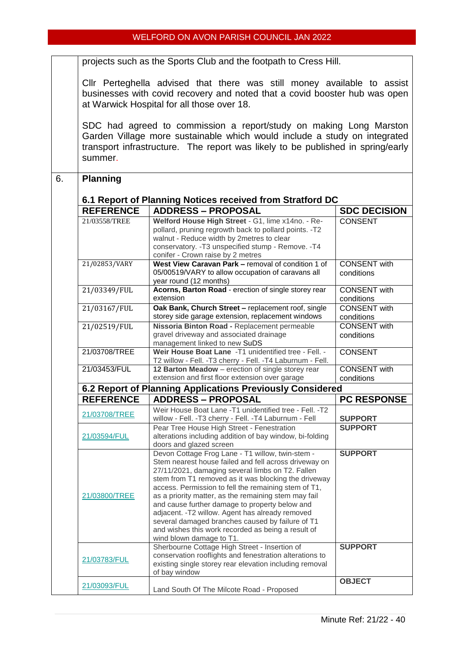#### WELFORD ON AVON PARISH COUNCIL JAN 2022

projects such as the Sports Club and the footpath to Cress Hill.

Cllr Perteghella advised that there was still money available to assist businesses with covid recovery and noted that a covid booster hub was open at Warwick Hospital for all those over 18.

SDC had agreed to commission a report/study on making Long Marston Garden Village more sustainable which would include a study on integrated transport infrastructure. The report was likely to be published in spring/early summer.

#### 6. **Planning**

| <b>REFERENCE</b>                                          | <b>ADDRESS - PROPOSAL</b>                                                                                                                                                                                                                                                                                                                                                                                                                                                                                                                                                         | <b>SDC DECISION</b>               |  |  |
|-----------------------------------------------------------|-----------------------------------------------------------------------------------------------------------------------------------------------------------------------------------------------------------------------------------------------------------------------------------------------------------------------------------------------------------------------------------------------------------------------------------------------------------------------------------------------------------------------------------------------------------------------------------|-----------------------------------|--|--|
| 21/03558/TREE                                             | Welford House High Street - G1, lime x14no. - Re-<br>pollard, pruning regrowth back to pollard points. -T2<br>walnut - Reduce width by 2metres to clear<br>conservatory. - T3 unspecified stump - Remove. - T4                                                                                                                                                                                                                                                                                                                                                                    | <b>CONSENT</b>                    |  |  |
| 21/02853/VARY                                             | conifer - Crown raise by 2 metres<br>West View Caravan Park - removal of condition 1 of<br>05/00519/VARY to allow occupation of caravans all<br>year round (12 months)                                                                                                                                                                                                                                                                                                                                                                                                            |                                   |  |  |
| 21/03349/FUL                                              | Acorns, Barton Road - erection of single storey rear<br>extension                                                                                                                                                                                                                                                                                                                                                                                                                                                                                                                 | <b>CONSENT</b> with<br>conditions |  |  |
| 21/03167/FUL                                              | Oak Bank, Church Street - replacement roof, single<br>storey side garage extension, replacement windows                                                                                                                                                                                                                                                                                                                                                                                                                                                                           | <b>CONSENT</b> with<br>conditions |  |  |
| 21/02519/FUL                                              | Nissoria Binton Road - Replacement permeable<br>gravel driveway and associated drainage<br>management linked to new SuDS                                                                                                                                                                                                                                                                                                                                                                                                                                                          | <b>CONSENT</b> with<br>conditions |  |  |
| 21/03708/TREE                                             | Weir House Boat Lane -T1 unidentified tree - Fell. -<br>T2 willow - Fell. - T3 cherry - Fell. - T4 Laburnum - Fell.                                                                                                                                                                                                                                                                                                                                                                                                                                                               | <b>CONSENT</b>                    |  |  |
| 21/03453/FUL                                              | 12 Barton Meadow - erection of single storey rear<br>extension and first floor extension over garage                                                                                                                                                                                                                                                                                                                                                                                                                                                                              | <b>CONSENT</b> with<br>conditions |  |  |
|                                                           | 6.2 Report of Planning Applications Previously Considered                                                                                                                                                                                                                                                                                                                                                                                                                                                                                                                         |                                   |  |  |
| <b>REFERENCE</b>                                          | <b>ADDRESS - PROPOSAL</b>                                                                                                                                                                                                                                                                                                                                                                                                                                                                                                                                                         | <b>PC RESPONSE</b>                |  |  |
| 21/03708/TREE                                             | Weir House Boat Lane -T1 unidentified tree - Fell. -T2<br>willow - Fell. - T3 cherry - Fell. - T4 Laburnum - Fell                                                                                                                                                                                                                                                                                                                                                                                                                                                                 | <b>SUPPORT</b>                    |  |  |
| 21/03594/FUL                                              | Pear Tree House High Street - Fenestration<br>alterations including addition of bay window, bi-folding<br>doors and glazed screen                                                                                                                                                                                                                                                                                                                                                                                                                                                 | <b>SUPPORT</b>                    |  |  |
| 21/03800/TREE                                             | Devon Cottage Frog Lane - T1 willow, twin-stem -<br>Stem nearest house failed and fell across driveway on<br>27/11/2021, damaging several limbs on T2. Fallen<br>stem from T1 removed as it was blocking the driveway<br>access. Permission to fell the remaining stem of T1,<br>as a priority matter, as the remaining stem may fail<br>and cause further damage to property below and<br>adjacent. - T2 willow. Agent has already removed<br>several damaged branches caused by failure of T1<br>and wishes this work recorded as being a result of<br>wind blown damage to T1. | <b>SUPPORT</b>                    |  |  |
| 21/03783/FUL                                              | Sherbourne Cottage High Street - Insertion of<br>conservation rooflights and fenestration alterations to<br>existing single storey rear elevation including removal<br>of bay window                                                                                                                                                                                                                                                                                                                                                                                              | <b>SUPPORT</b>                    |  |  |
| 21/03093/FUL<br>Land South Of The Milcote Road - Proposed |                                                                                                                                                                                                                                                                                                                                                                                                                                                                                                                                                                                   |                                   |  |  |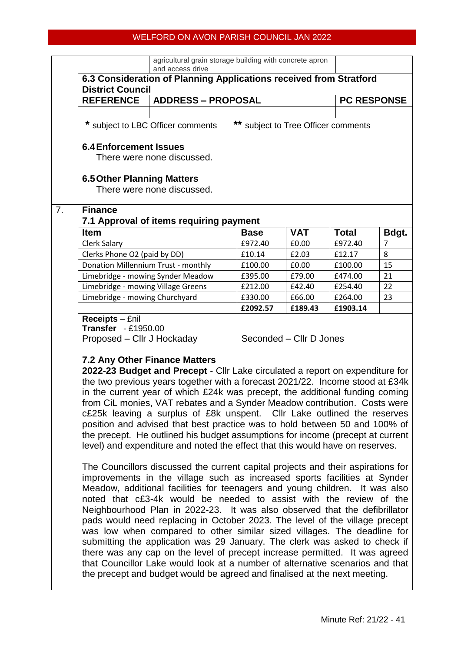### WELFORD ON AVON PARISH COUNCIL JAN 2022

|                |                                                                                                                                                                                                                                                                                                                                                                                                                                                                                                                                                                                                                                                                                                                                                                                                                                                                                                                                                                                                                                                                                                                                                                                                                                                                                                                                                                                                                                                                                                                                                                                                                                                                                 | agricultural grain storage building with concrete apron<br>and access drive |                                     |            |                    |                |  |  |  |
|----------------|---------------------------------------------------------------------------------------------------------------------------------------------------------------------------------------------------------------------------------------------------------------------------------------------------------------------------------------------------------------------------------------------------------------------------------------------------------------------------------------------------------------------------------------------------------------------------------------------------------------------------------------------------------------------------------------------------------------------------------------------------------------------------------------------------------------------------------------------------------------------------------------------------------------------------------------------------------------------------------------------------------------------------------------------------------------------------------------------------------------------------------------------------------------------------------------------------------------------------------------------------------------------------------------------------------------------------------------------------------------------------------------------------------------------------------------------------------------------------------------------------------------------------------------------------------------------------------------------------------------------------------------------------------------------------------|-----------------------------------------------------------------------------|-------------------------------------|------------|--------------------|----------------|--|--|--|
|                | 6.3 Consideration of Planning Applications received from Stratford                                                                                                                                                                                                                                                                                                                                                                                                                                                                                                                                                                                                                                                                                                                                                                                                                                                                                                                                                                                                                                                                                                                                                                                                                                                                                                                                                                                                                                                                                                                                                                                                              |                                                                             |                                     |            |                    |                |  |  |  |
|                | <b>District Council</b>                                                                                                                                                                                                                                                                                                                                                                                                                                                                                                                                                                                                                                                                                                                                                                                                                                                                                                                                                                                                                                                                                                                                                                                                                                                                                                                                                                                                                                                                                                                                                                                                                                                         |                                                                             |                                     |            |                    |                |  |  |  |
|                | <b>REFERENCE</b>                                                                                                                                                                                                                                                                                                                                                                                                                                                                                                                                                                                                                                                                                                                                                                                                                                                                                                                                                                                                                                                                                                                                                                                                                                                                                                                                                                                                                                                                                                                                                                                                                                                                | <b>ADDRESS - PROPOSAL</b>                                                   |                                     |            | <b>PC RESPONSE</b> |                |  |  |  |
|                |                                                                                                                                                                                                                                                                                                                                                                                                                                                                                                                                                                                                                                                                                                                                                                                                                                                                                                                                                                                                                                                                                                                                                                                                                                                                                                                                                                                                                                                                                                                                                                                                                                                                                 |                                                                             |                                     |            |                    |                |  |  |  |
|                |                                                                                                                                                                                                                                                                                                                                                                                                                                                                                                                                                                                                                                                                                                                                                                                                                                                                                                                                                                                                                                                                                                                                                                                                                                                                                                                                                                                                                                                                                                                                                                                                                                                                                 | * subject to LBC Officer comments                                           | ** subject to Tree Officer comments |            |                    |                |  |  |  |
|                | <b>6.4 Enforcement Issues</b><br>There were none discussed.<br><b>6.5 Other Planning Matters</b><br>There were none discussed.                                                                                                                                                                                                                                                                                                                                                                                                                                                                                                                                                                                                                                                                                                                                                                                                                                                                                                                                                                                                                                                                                                                                                                                                                                                                                                                                                                                                                                                                                                                                                  |                                                                             |                                     |            |                    |                |  |  |  |
|                |                                                                                                                                                                                                                                                                                                                                                                                                                                                                                                                                                                                                                                                                                                                                                                                                                                                                                                                                                                                                                                                                                                                                                                                                                                                                                                                                                                                                                                                                                                                                                                                                                                                                                 |                                                                             |                                     |            |                    |                |  |  |  |
| 7 <sub>1</sub> | <b>Finance</b>                                                                                                                                                                                                                                                                                                                                                                                                                                                                                                                                                                                                                                                                                                                                                                                                                                                                                                                                                                                                                                                                                                                                                                                                                                                                                                                                                                                                                                                                                                                                                                                                                                                                  | 7.1 Approval of items requiring payment                                     |                                     |            |                    |                |  |  |  |
|                | <b>Item</b>                                                                                                                                                                                                                                                                                                                                                                                                                                                                                                                                                                                                                                                                                                                                                                                                                                                                                                                                                                                                                                                                                                                                                                                                                                                                                                                                                                                                                                                                                                                                                                                                                                                                     |                                                                             | <b>Base</b>                         | <b>VAT</b> | <b>Total</b>       | Bdgt.          |  |  |  |
|                | <b>Clerk Salary</b>                                                                                                                                                                                                                                                                                                                                                                                                                                                                                                                                                                                                                                                                                                                                                                                                                                                                                                                                                                                                                                                                                                                                                                                                                                                                                                                                                                                                                                                                                                                                                                                                                                                             |                                                                             | £972.40                             | £0.00      | £972.40            | $\overline{7}$ |  |  |  |
|                | Clerks Phone O2 (paid by DD)                                                                                                                                                                                                                                                                                                                                                                                                                                                                                                                                                                                                                                                                                                                                                                                                                                                                                                                                                                                                                                                                                                                                                                                                                                                                                                                                                                                                                                                                                                                                                                                                                                                    |                                                                             | £10.14                              | £2.03      | £12.17             | 8              |  |  |  |
|                | Donation Millennium Trust - monthly                                                                                                                                                                                                                                                                                                                                                                                                                                                                                                                                                                                                                                                                                                                                                                                                                                                                                                                                                                                                                                                                                                                                                                                                                                                                                                                                                                                                                                                                                                                                                                                                                                             |                                                                             | £100.00                             | £0.00      | £100.00            | 15             |  |  |  |
|                | Limebridge - mowing Synder Meadow                                                                                                                                                                                                                                                                                                                                                                                                                                                                                                                                                                                                                                                                                                                                                                                                                                                                                                                                                                                                                                                                                                                                                                                                                                                                                                                                                                                                                                                                                                                                                                                                                                               |                                                                             | £395.00                             | £79.00     | £474.00            | 21             |  |  |  |
|                | Limebridge - mowing Village Greens                                                                                                                                                                                                                                                                                                                                                                                                                                                                                                                                                                                                                                                                                                                                                                                                                                                                                                                                                                                                                                                                                                                                                                                                                                                                                                                                                                                                                                                                                                                                                                                                                                              |                                                                             | £212.00                             | £42.40     | £254.40            | 22             |  |  |  |
|                | Limebridge - mowing Churchyard                                                                                                                                                                                                                                                                                                                                                                                                                                                                                                                                                                                                                                                                                                                                                                                                                                                                                                                                                                                                                                                                                                                                                                                                                                                                                                                                                                                                                                                                                                                                                                                                                                                  |                                                                             | £330.00                             | £66.00     | £264.00            | 23             |  |  |  |
|                |                                                                                                                                                                                                                                                                                                                                                                                                                                                                                                                                                                                                                                                                                                                                                                                                                                                                                                                                                                                                                                                                                                                                                                                                                                                                                                                                                                                                                                                                                                                                                                                                                                                                                 |                                                                             | £2092.57                            | £189.43    | £1903.14           |                |  |  |  |
|                | <b>Transfer</b> - £1950.00<br>Proposed – Cllr J Hockaday<br>Seconded – Cllr D Jones<br><b>7.2 Any Other Finance Matters</b><br>2022-23 Budget and Precept - Cllr Lake circulated a report on expenditure for<br>the two previous years together with a forecast 2021/22. Income stood at £34k<br>in the current year of which £24k was precept, the additional funding coming<br>from CiL monies, VAT rebates and a Synder Meadow contribution. Costs were<br>c£25k leaving a surplus of £8k unspent. Cllr Lake outlined the reserves<br>position and advised that best practice was to hold between 50 and 100% of<br>the precept. He outlined his budget assumptions for income (precept at current<br>level) and expenditure and noted the effect that this would have on reserves.<br>The Councillors discussed the current capital projects and their aspirations for<br>improvements in the village such as increased sports facilities at Synder<br>Meadow, additional facilities for teenagers and young children. It was also<br>noted that c£3-4k would be needed to assist with the review of the<br>Neighbourhood Plan in 2022-23. It was also observed that the defibrillator<br>pads would need replacing in October 2023. The level of the village precept<br>was low when compared to other similar sized villages. The deadline for<br>submitting the application was 29 January. The clerk was asked to check if<br>there was any cap on the level of precept increase permitted. It was agreed<br>that Councillor Lake would look at a number of alternative scenarios and that<br>the precept and budget would be agreed and finalised at the next meeting. |                                                                             |                                     |            |                    |                |  |  |  |